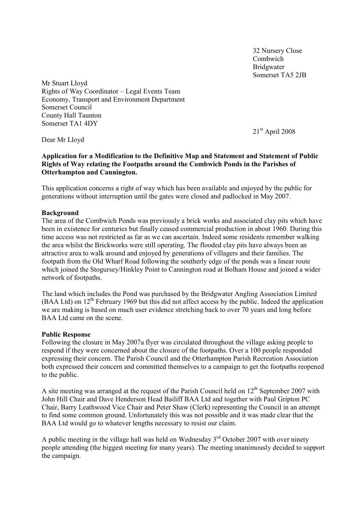32 Nursery Close Combwich Bridgwater Somerset TA5 2JB

Mr Stuart Lloyd Rights of Way Coordinator – Legal Events Team Economy, Transport and Environment Department Somerset Council County Hall Taunton Somerset TA1 4DY

21<sup>st</sup> April 2008

Dear Mr Lloyd

## **Application for a Modification to the Definitive Map and Statement and Statement of Public Rights of Way relating the Footpaths around the Combwich Ponds in the Parishes of Otterhampton and Cannington.**

This application concerns a right of way which has been available and enjoyed by the public for generations without interruption until the gates were closed and padlocked in May 2007.

#### **Background**

The area of the Combwich Ponds was previously a brick works and associated clay pits which have been in existence for centuries but finally ceased commercial production in about 1960. During this time access was not restricted as far as we can ascertain. Indeed some residents remember walking the area whilst the Brickworks were still operating. The flooded clay pits have always been an attractive area to walk around and enjoyed by generations of villagers and their families. The footpath from the Old Wharf Road following the southerly edge of the ponds was a linear route which joined the Stogursey/Hinkley Point to Cannington road at Bolham House and joined a wider network of footpaths.

The land which includes the Pond was purchased by the Bridgwater Angling Association Limited (BAA Ltd) on 12th February 1969 but this did not affect access by the public. Indeed the application we are making is based on much user evidence stretching back to over 70 years and long before BAA Ltd came on the scene.

#### **Public Response**

Following the closure in May 2007a flyer was circulated throughout the village asking people to respond if they were concerned about the closure of the footpaths. Over a 100 people responded expressing their concern. The Parish Council and the Otterhampton Parish Recreation Association both expressed their concern and committed themselves to a campaign to get the footpaths reopened to the public.

A site meeting was arranged at the request of the Parish Council held on  $12<sup>th</sup>$  September 2007 with John Hill Chair and Dave Henderson Head Bailiff BAA Ltd and together with Paul Gripton PC Chair, Barry Leathwood Vice Chair and Peter Shaw (Clerk) representing the Council in an attempt to find some common ground. Unfortunately this was not possible and it was made clear that the BAA Ltd would go to whatever lengths necessary to resist our claim.

A public meeting in the village hall was held on Wednesday  $3<sup>rd</sup>$  October 2007 with over ninety people attending (the biggest meeting for many years). The meeting unanimously decided to support the campaign.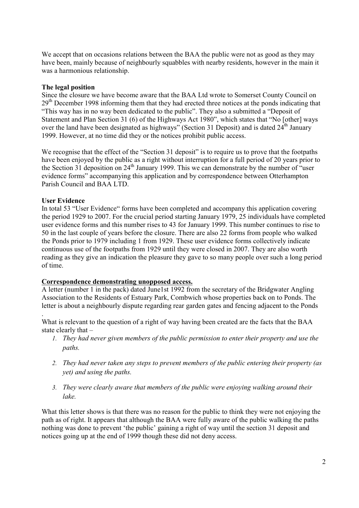We accept that on occasions relations between the BAA the public were not as good as they may have been, mainly because of neighbourly squabbles with nearby residents, however in the main it was a harmonious relationship.

## **The legal position**

Since the closure we have become aware that the BAA Ltd wrote to Somerset County Council on  $29<sup>th</sup>$  December 1998 informing them that they had erected three notices at the ponds indicating that "This way has in no way been dedicated to the public". They also a submitted a "Deposit of Statement and Plan Section 31 (6) of the Highways Act 1980", which states that "No [other] ways over the land have been designated as highways" (Section 31 Deposit) and is dated  $24<sup>th</sup>$  January 1999. However, at no time did they or the notices prohibit public access.

We recognise that the effect of the "Section 31 deposit" is to require us to prove that the footpaths have been enjoyed by the public as a right without interruption for a full period of 20 years prior to the Section 31 deposition on 24<sup>th</sup> January 1999. This we can demonstrate by the number of "user evidence forms" accompanying this application and by correspondence between Otterhampton Parish Council and BAA LTD.

## **User Evidence**

.

In total 53 "User Evidence" forms have been completed and accompany this application covering the period 1929 to 2007. For the crucial period starting January 1979, 25 individuals have completed user evidence forms and this number rises to 43 for January 1999. This number continues to rise to 50 in the last couple of years before the closure. There are also 22 forms from people who walked the Ponds prior to 1979 including 1 from 1929. These user evidence forms collectively indicate continuous use of the footpaths from 1929 until they were closed in 2007. They are also worth reading as they give an indication the pleasure they gave to so many people over such a long period of time.

## **Correspondence demonstrating unopposed access.**

A letter (number 1 in the pack) dated June1st 1992 from the secretary of the Bridgwater Angling Association to the Residents of Estuary Park, Combwich whose properties back on to Ponds. The letter is about a neighbourly dispute regarding rear garden gates and fencing adjacent to the Ponds

What is relevant to the question of a right of way having been created are the facts that the BAA state clearly that –

- *1. They had never given members of the public permission to enter their property and use the paths.*
- *2. They had never taken any steps to prevent members of the public entering their property (as yet) and using the paths.*
- *3. They were clearly aware that members of the public were enjoying walking around their lake.*

What this letter shows is that there was no reason for the public to think they were not enjoying the path as of right. It appears that although the BAA were fully aware of the public walking the paths nothing was done to prevent 'the public' gaining a right of way until the section 31 deposit and notices going up at the end of 1999 though these did not deny access.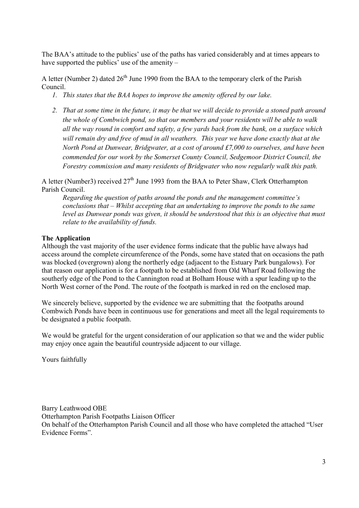The BAA's attitude to the publics' use of the paths has varied considerably and at times appears to have supported the publics' use of the amenity –

A letter (Number 2) dated  $26<sup>th</sup>$  June 1990 from the BAA to the temporary clerk of the Parish Council.

- *1. This states that the BAA hopes to improve the amenity offered by our lake.*
- *2. That at some time in the future, it may be that we will decide to provide a stoned path around the whole of Combwich pond, so that our members and your residents will be able to walk all the way round in comfort and safety, a few yards back from the bank, on a surface which will remain dry and free of mud in all weathers. This year we have done exactly that at the North Pond at Dunwear, Bridgwater, at a cost of around £7,000 to ourselves, and have been commended for our work by the Somerset County Council, Sedgemoor District Council, the Forestry commission and many residents of Bridgwater who now regularly walk this path.*

A letter (Number3) received  $27<sup>th</sup>$  June 1993 from the BAA to Peter Shaw, Clerk Otterhampton Parish Council.

*Regarding the question of paths around the ponds and the management committee's conclusions that – Whilst accepting that an undertaking to improve the ponds to the same level as Dunwear ponds was given, it should be understood that this is an objective that must relate to the availability of funds.* 

# **The Application**

Although the vast majority of the user evidence forms indicate that the public have always had access around the complete circumference of the Ponds, some have stated that on occasions the path was blocked (overgrown) along the northerly edge (adjacent to the Estuary Park bungalows). For that reason our application is for a footpath to be established from Old Wharf Road following the southerly edge of the Pond to the Cannington road at Bolham House with a spur leading up to the North West corner of the Pond. The route of the footpath is marked in red on the enclosed map.

We sincerely believe, supported by the evidence we are submitting that the footpaths around Combwich Ponds have been in continuous use for generations and meet all the legal requirements to be designated a public footpath.

We would be grateful for the urgent consideration of our application so that we and the wider public may enjoy once again the beautiful countryside adjacent to our village.

Yours faithfully

Barry Leathwood OBE Otterhampton Parish Footpaths Liaison Officer On behalf of the Otterhampton Parish Council and all those who have completed the attached "User Evidence Forms".